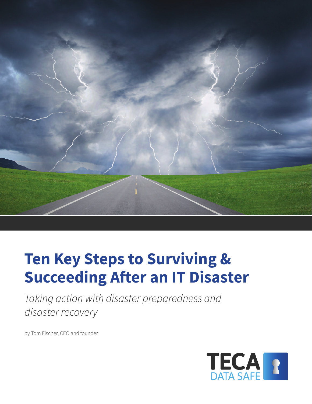

# **Ten Key Steps to Surviving & Succeeding After an IT Disaster**

*Taking action with disaster preparedness and disaster recovery*

by Tom Fischer, CEO and founder

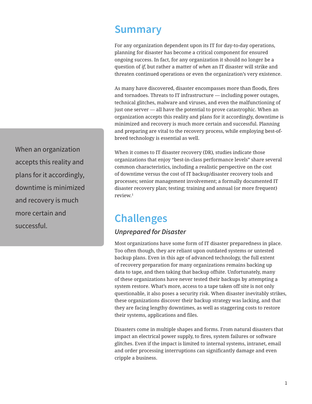### **Summary**

For any organization dependent upon its IT for day-to-day operations, planning for disaster has become a critical component for ensured ongoing success. In fact, for any organization it should no longer be a question of *if*, but rather a matter of *when* an IT disaster will strike and threaten continued operations or even the organization's very existence.

As many have discovered, disaster encompasses more than floods, fires and tornadoes. Threats to IT infrastructure — including power outages, technical glitches, malware and viruses, and even the malfunctioning of just one server — all have the potential to prove catastrophic. When an organization accepts this reality and plans for it accordingly, downtime is minimized and recovery is much more certain and successful. Planning and preparing are vital to the recovery process, while employing best-ofbreed technology is essential as well.

When it comes to IT disaster recovery (DR), studies indicate those organizations that enjoy "best-in-class performance levels" share several common characteristics, including a realistic perspective on the cost of downtime versus the cost of IT backup/disaster recovery tools and processes; senior management involvement; a formally documented IT disaster recovery plan; testing; training and annual (or more frequent) review.1

### **Challenges**

#### *Unprepared for Disaster*

Most organizations have some form of IT disaster preparedness in place. Too often though, they are reliant upon outdated systems or untested backup plans. Even in this age of advanced technology, the full extent of recovery preparation for many organizations remains backing up data to tape, and then taking that backup offsite. Unfortunately, many of these organizations have never tested their backups by attempting a system restore. What's more, access to a tape taken off site is not only questionable, it also poses a security risk. When disaster inevitably strikes, these organizations discover their backup strategy was lacking, and that they are facing lengthy downtimes, as well as staggering costs to restore their systems, applications and files.

Disasters come in multiple shapes and forms. From natural disasters that impact an electrical power supply, to fires, system failures or software glitches. Even if the impact is limited to internal systems, intranet, email and order processing interruptions can significantly damage and even cripple a business.

When an organization accepts this reality and plans for it accordingly, downtime is minimized and recovery is much more certain and successful.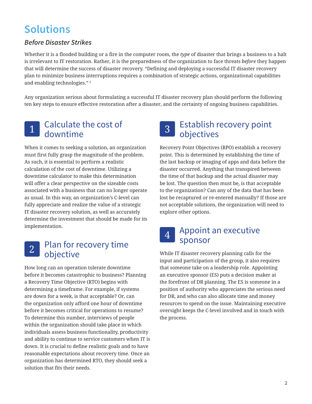### **Solutions**

#### *Before Disaster Strikes*

Whether it is a flooded building or a fire in the computer room, the *type* of disaster that brings a business to a halt is irrelevant to IT restoration. Rather, it is the preparedness of the organization to face threats *before* they happen that will determine the success of disaster recovery. "Defining and deploying a successful IT disaster recovery plan to minimize business interruptions requires a combination of strategic actions, organizational capabilities and enabling technologies." <sup>2</sup>

Any organization serious about formulating a successful IT disaster recovery plan should perform the following ten key steps to ensure effective restoration after a disaster, and the certainty of ongoing business capabilities.

### 1 Calculate the cost of downtime

When it comes to seeking a solution, an organization must first fully grasp the magnitude of the problem. As such, it is essential to perform a realistic calculation of the cost of downtime. Utilizing a downtime calculator to make this determination will offer a clear perspective on the sizeable costs associated with a business that can no longer operate as usual. In this way, an organization's C-level can fully appreciate and realize the value of a strategic IT disaster recovery solution, as well as accurately determine the investment that should be made for its implementation.

### 2 Plan for recovery time objective

How long can an operation tolerate downtime before it becomes catastrophic to business? Planning a Recovery Time Objective (RTO) begins with determining a timeframe. For example, if systems are down for a week, is that acceptable? Or, can the organization only afford one hour of downtime before it becomes critical for operations to resume? To determine this number, interviews of people within the organization should take place in which individuals assess business functionality, productivity and ability to continue to service customers when IT is down. It is crucial to define realistic goals and to have reasonable expectations about recovery time. Once an organization has determined RTO, they should seek a solution that fits their needs.

### 3 Establish recovery point objectives

Recovery Point Objectives (RPO) establish a recovery point. This is determined by establishing the time of the last backup or imaging of apps and data before the disaster occurred. Anything that transpired between the time of that backup and the actual disaster may be lost. The question then must be, is that acceptable to the organization? Can any of the data that has been lost be recaptured or re-entered manually? If those are not acceptable solutions, the organization will need to explore other options.

### 4 Appoint an executive sponsor

While IT disaster recovery planning calls for the input and participation of the group, it also requires that someone take on a leadership role. Appointing an executive sponsor (ES) puts a decision maker at the forefront of DR planning. The ES is someone in a position of authority who appreciates the serious need for DR, and who can also allocate time and money resources to spend on the issue. Maintaining executive oversight keeps the C-level involved and in touch with the process.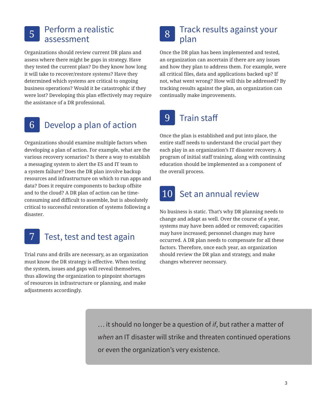#### 5 Perform a realistic assessment

Organizations should review current DR plans and assess where there might be gaps in strategy. Have they tested the current plan? Do they know how long it will take to recover/restore systems? Have they determined which systems are critical to ongoing business operations? Would it be catastrophic if they were lost? Developing this plan effectively may require the assistance of a DR professional.

# 6 Develop a plan of action

Organizations should examine multiple factors when developing a plan of action. For example, what are the various recovery scenarios? Is there a way to establish a messaging system to alert the ES and IT team to a system failure? Does the DR plan involve backup resources and infrastructure on which to run apps and data? Does it require components to backup offsite and to the cloud? A DR plan of action can be timeconsuming and difficult to assemble, but is absolutely critical to successful restoration of systems following a disaster.

Test, test and test again

Trial runs and drills are necessary, as an organization must know the DR strategy is effective. When testing the system, issues and gaps will reveal themselves, thus allowing the organization to pinpoint shortages of resources in infrastructure or planning, and make adjustments accordingly.

### 8 Track results against your plan

Once the DR plan has been implemented and tested, an organization can ascertain if there are any issues and how they plan to address them. For example, were all critical files, data and applications backed up? If not, what went wrong? How will this be addressed? By tracking results against the plan, an organization can continually make improvements.

# 9 Train staff

Once the plan is established and put into place, the entire staff needs to understand the crucial part they each play in an organization's IT disaster recovery. A program of initial staff training, along with continuing education should be implemented as a component of the overall process.

### 10 Set an annual review

No business is static. That's why DR planning needs to change and adapt as well. Over the course of a year, systems may have been added or removed; capacities may have increased; personnel changes may have occurred. A DR plan needs to compensate for all these factors. Therefore, once each year, an organization should review the DR plan and strategy, and make changes wherever necessary.

… it should no longer be a question of *if*, but rather a matter of *when* an IT disaster will strike and threaten continued operations or even the organization's very existence.